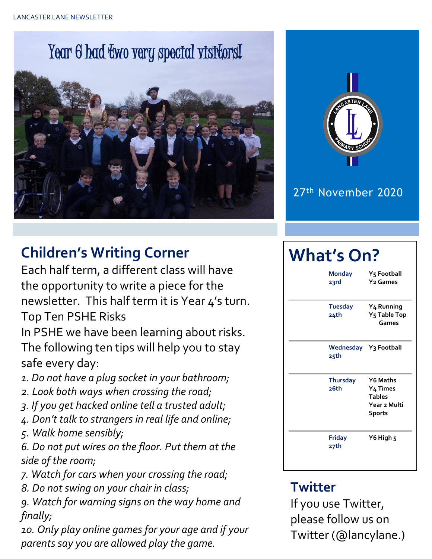# Year 6 had two very special visitors!





#### 27th November 2020

# **Children's Writing Corner**

Each half term, a different class will have the opportunity to write a piece for the newsletter. This half term it is Year 4's turn. Top Ten PSHE Risks

In PSHE we have been learning about risks. The following ten tips will help you to stay safe every day:

- *1. Do not have a plug socket in your bathroom;*
- *2. Look both ways when crossing the road;*
- *3. If you get hacked online tell a trusted adult;*
- *4. Don't talk to strangers in real life and online;*
- *5. Walk home sensibly;*

*6. Do not put wires on the floor. Put them at the side of the room;* 

- *7. Watch for cars when your crossing the road;*
- *8. Do not swing on your chair in class;*

*9. Watch for warning signs on the way home and finally;* 

*10. Only play online games for your age and if your parents say you are allowed play the game.*

# **What's On?**

| <b>Monday</b><br>23rd   | Y5 Football<br><b>Y<sub>2</sub></b> Games                                     |  |  |  |
|-------------------------|-------------------------------------------------------------------------------|--|--|--|
| <b>Tuesday</b><br>24th  | Y <sub>4</sub> Running<br>Y <sub>5</sub> Table Top<br>Games                   |  |  |  |
| 25th                    | Wednesday Y3 Football                                                         |  |  |  |
| <b>Thursday</b><br>26th | <b>Y6 Maths</b><br>Y4 Times<br><b>Tables</b><br>Year 2 Multi<br><b>Sports</b> |  |  |  |
| <b>Friday</b><br>27th   | Y6 High 5                                                                     |  |  |  |

## **Twitter**

If you use Twitter, please follow us on Twitter (@lancylane.)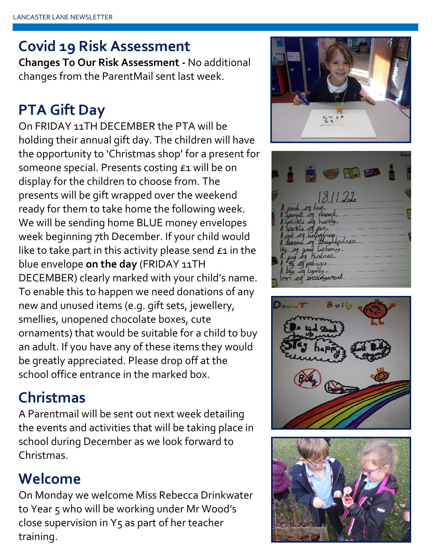# **Covid 19 Risk Assessment**

**Changes To Our Risk Assessment -** No additional changes from the ParentMail sent last week.

# **PTA Gift Day**

On FRIDAY 11TH DECEMBER the PTA will be holding their annual gift day. The children will have the opportunity to 'Christmas shop' for a present for someone special. Presents costing £1 will be on display for the children to choose from. The presents will be gift wrapped over the weekend ready for them to take home the following week. We will be sending home BLUE money envelopes week beginning 7th December. If your child would like to take part in this activity please send  $\epsilon_1$  in the blue envelope **on the day** (FRIDAY 11TH DECEMBER) clearly marked with your child's name. To enable this to happen we need donations of any new and unused items (e.g. gift sets, jewellery, smellies, unopened chocolate boxes, cute ornaments) that would be suitable for a child to buy an adult. If you have any of these items they would be greatly appreciated. Please drop off at the school office entrance in the marked box.

## **Christmas**

A Parentmail will be sent out next week detailing the events and activities that will be taking place in school during December as we look forward to Christmas.

## **Welcome**

On Monday we welcome Miss Rebecca Drinkwater to Year 5 who will be working under Mr Wood's close supervision in Y5 as part of her teacher training.